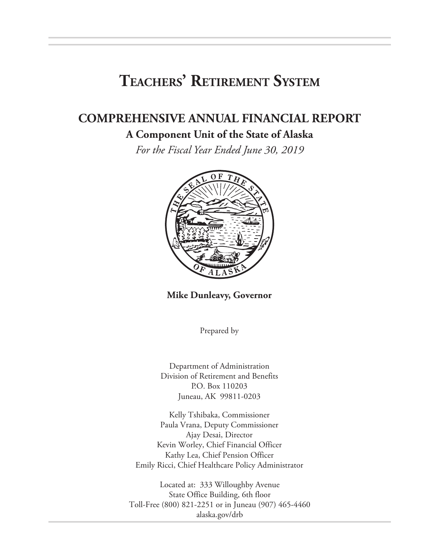# **Teachers' Retirement System**

## **COMPREHENSIVE ANNUAL FINANCIAL REPORT**

## **A Component Unit of the State of Alaska**

*For the Fiscal Year Ended June 30, 2019*



**Mike Dunleavy, Governor**

Prepared by

Department of Administration Division of Retirement and Benefits P.O. Box 110203 Juneau, AK 99811-0203

Kelly Tshibaka, Commissioner Paula Vrana, Deputy Commissioner Ajay Desai, Director Kevin Worley, Chief Financial Officer Kathy Lea, Chief Pension Officer Emily Ricci, Chief Healthcare Policy Administrator

Located at: 333 Willoughby Avenue State Office Building, 6th floor Toll-Free (800) 821-2251 or in Juneau (907) 465-4460 alaska.gov/drb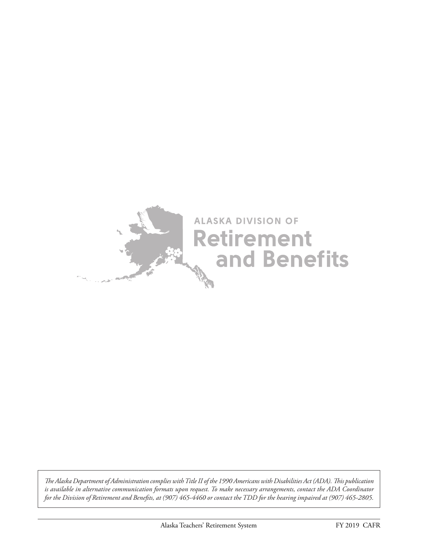

*The Alaska Department of Administration complies with Title II of the 1990 Americans with Disabilities Act (ADA). This publication is available in alternative communication formats upon request. To make necessary arrangements, contact the ADA Coordinator for the Division of Retirement and Benefits, at (907) 465-4460 or contact the TDD for the hearing impaired at (907) 465-2805.*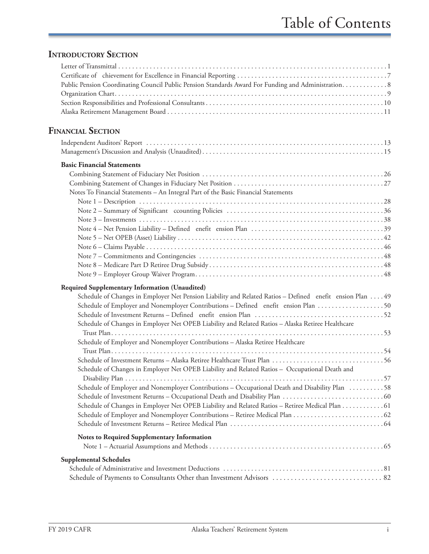## **INTRODUCTORY SECTION**

| Public Pension Coordinating Council Public Pension Standards Award For Funding and Administration. 8                                                                                                                                                                                                                                                                                                                                      |
|-------------------------------------------------------------------------------------------------------------------------------------------------------------------------------------------------------------------------------------------------------------------------------------------------------------------------------------------------------------------------------------------------------------------------------------------|
| <b>FINANCIAL SECTION</b>                                                                                                                                                                                                                                                                                                                                                                                                                  |
|                                                                                                                                                                                                                                                                                                                                                                                                                                           |
| <b>Basic Financial Statements</b><br>Notes To Financial Statements - An Integral Part of the Basic Financial Statements                                                                                                                                                                                                                                                                                                                   |
|                                                                                                                                                                                                                                                                                                                                                                                                                                           |
| Required Supplementary Information (Unaudited)<br>Schedule of Changes in Employer Net Pension Liability and Related Ratios - Defined enefit ension Plan  49<br>Schedule of Employer and Nonemployer Contributions - Defined enefit ension Plan  50<br>Schedule of Changes in Employer Net OPEB Liability and Related Ratios - Alaska Retiree Healthcare<br>Schedule of Employer and Nonemployer Contributions - Alaska Retiree Healthcare |
| Schedule of Changes in Employer Net OPEB Liability and Related Ratios - Occupational Death and<br>Schedule of Employer and Nonemployer Contributions - Occupational Death and Disability Plan 58<br>Schedule of Changes in Employer Net OPEB Liability and Related Ratios - Retiree Medical Plan 61                                                                                                                                       |
| Notes to Required Supplementary Information                                                                                                                                                                                                                                                                                                                                                                                               |
| <b>Supplemental Schedules</b>                                                                                                                                                                                                                                                                                                                                                                                                             |